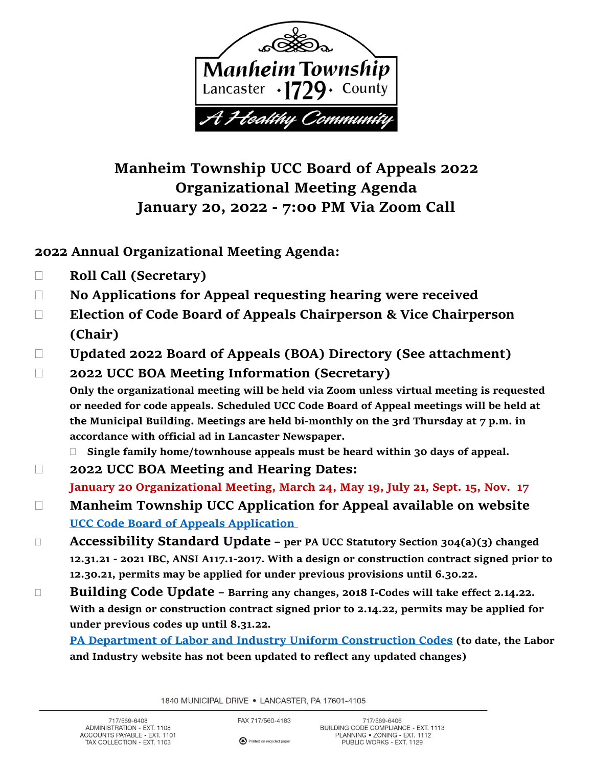

## **Manheim Township UCC Board of Appeals 2022 Organizational Meeting Agenda January 20, 2022 - 7:00 PM Via Zoom Call**

**2022 Annual Organizational Meeting Agenda:**

- **Roll Call (Secretary)**
- **No Applications for Appeal requesting hearing were received**
- **Election of Code Board of Appeals Chairperson & Vice Chairperson (Chair)**
- **Updated 2022 Board of Appeals (BOA) Directory (See attachment)**

 **2022 UCC BOA Meeting Information (Secretary) Only the organizational meeting will be held via Zoom unless virtual meeting is requested or needed for code appeals. Scheduled UCC Code Board of Appeal meetings will be held at the Municipal Building. Meetings are held bi-monthly on the 3rd Thursday at 7 p.m. in accordance with official ad in Lancaster Newspaper.**

- **Single family home/townhouse appeals must be heard within 30 days of appeal.**
- **2022 UCC BOA Meeting and Hearing Dates: January 20 Organizational Meeting, March 24, May 19, July 21, Sept. 15, Nov. 17**

 **Manheim Township UCC Application for Appeal available on website [UCC Code Board of Appeals Application](https://www.manheimtownship.org/DocumentCenter/View/4093/UCC-Board-of-Appeals---Application?bidId=)**

- **Accessibility Standard Update – per PA UCC Statutory Section 304(a)(3) changed 12.31.21 - 2021 IBC, ANSI A117.1-2017. With a design or construction contract signed prior to 12.30.21, permits may be applied for under previous provisions until 6.30.22.**
- **Building Code Update – Barring any changes, 2018 I-Codes will take effect 2.14.22. With a design or construction contract signed prior to 2.14.22, permits may be applied for under previous codes up until 8.31.22.**

**[PA Department of Labor and Industry Uniform Construction Codes](https://www.dli.pa.gov/ucc/Pages/default.aspx) (to date, the Labor and Industry website has not been updated to reflect any updated changes)**

1840 MUNICIPAL DRIVE . LANCASTER, PA 17601-4105

FAX 717/560-4183

Printed on recycled paper